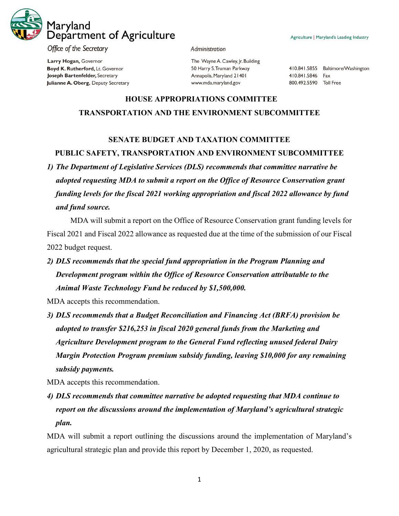

Office of the Secretary

Larry Hogan, Governor Boyd K. Rutherford, Lt. Governor Joseph Bartenfelder, Secretary Julianne A. Oberg, Deputy Secretary

## Administration

The Wayne A. Cawley, Jr. Building 50 Harry S. Truman Parkway Annapolis, Maryland 21401 www.mda.maryland.gov

410.841.5855 Baltimore/Washington 410.841.5846 Fax 800.492.5590 Toll Free

## **HOUSE APPROPRIATIONS COMMITTEE TRANSPORTATION AND THE ENVIRONMENT SUBCOMMITTEE**

## **SENATE BUDGET AND TAXATION COMMITTEE**

**PUBLIC SAFETY, TRANSPORTATION AND ENVIRONMENT SUBCOMMITTEE**

*1) The Department of Legislative Services (DLS) recommends that committee narrative be adopted requesting MDA to submit a report on the Office of Resource Conservation grant funding levels for the fiscal 2021 working appropriation and fiscal 2022 allowance by fund and fund source.*

MDA will submit a report on the Office of Resource Conservation grant funding levels for Fiscal 2021 and Fiscal 2022 allowance as requested due at the time of the submission of our Fiscal 2022 budget request.

*2) DLS recommends that the special fund appropriation in the Program Planning and Development program within the Office of Resource Conservation attributable to the Animal Waste Technology Fund be reduced by \$1,500,000.*

MDA accepts this recommendation.

*3) DLS recommends that a Budget Reconciliation and Financing Act (BRFA) provision be adopted to transfer \$216,253 in fiscal 2020 general funds from the Marketing and Agriculture Development program to the General Fund reflecting unused federal Dairy Margin Protection Program premium subsidy funding, leaving \$10,000 for any remaining subsidy payments.*

MDA accepts this recommendation.

*4) DLS recommends that committee narrative be adopted requesting that MDA continue to report on the discussions around the implementation of Maryland's agricultural strategic plan.*

MDA will submit a report outlining the discussions around the implementation of Maryland's agricultural strategic plan and provide this report by December 1, 2020, as requested.